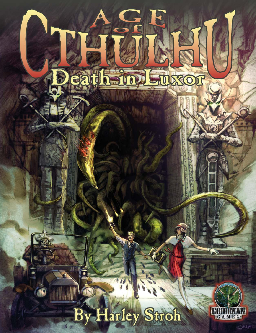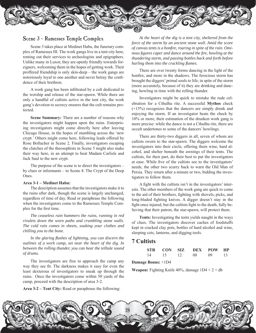

## Scene 3 – Ramesses Temple Complex

Scene 3 takes place at Medinet Habu, the funerary complex of Ramesses III. The work gangs live in a tent city here, renting out their services to archeologists and epigraphers. Unlike many in Luxor, they are openly friendly towards foreigners, welcoming them in the hopes of getting work. Their proffered friendship is only skin-deep – the work gangs are notoriously loyal to one another and never betray the confidence of their brethren.

 A work gang has been infiltrated by a cult dedicated to the worship and release of the star-spawn. While there are only a handful of cultists active in the tent city, the work gang's devotion to secrecy ensures that the cult remains protected.

 **Scene Summary:** There are a number of reasons why the investigators might happen upon the ruins. Enterprising investigators might come directly here after leaving Chicago House, in the hopes of stumbling across the 'new crypt.' Others might come here, following leads offered by Rose Bollacher in Scene 2. Finally, investigators escaping the clutches of the theosophists in Scene 5 might also make their way here, in an attempt to beat Madam Carlisle and Jack Saul to the new crypt.

 The purpose of the scene is to direct the investigators – by clues or informants – to Scene 4: The Crypt of the Deep Ones.

#### **Area 3-1 – Medinet Habu:**

 The description assumes that the investigators make it to the ruins after dark, though the scene is largely unchanged, regardless of time of day. Read or paraphrase the following when the investigators come to the Ramesses Temple Complex for the first time.

 *The ceaseless rain hammers the ruins, running in red rivulets down the worn paths and crumbling stone walls. The cold rain comes in sheets, soaking your clothes and chilling you to the bone.* 

 *In the glaring flashes of lightning, you can discern the outlines of a work camp, set near the heart of the dig. In between the rolling thunder, you can hear the telltale sound of drums.* 

The investigators are free to approach the camp any way they see fit. The darkness makes it easy for even the least dexterous of investigators to sneak up through the ruins. Once the investigators come within 50 yards of the camp, proceed with the description of area 3-2.

**Area 3-2 – Tent City:** Read or paraphrase the following:

 *At the heart of the dig is a tent city, sheltered from the force of the storm by an ancient stone wall. Amid the score of canvas tents is a bonfire, roaring in spite of the rain. Ominous figures caper and dance around the fire, howling at the thundering storm, and passing bottles back and forth before hurling them into the crackling flames.* 

 There are over twenty forms dancing in the light of the bonfire, and more in the shadows. The ferocious storm has brought the diggers' primal souls to life; in spite of the storm (more accurately, because of it) they are drinking and dancing, howling in time with the rolling thunder.

 Investigators might be quick to mistake the rude celebration for a Cthulhu rite. A successful **Mythos** check (+15%) recognizes that the dancers are simply drunk and enjoying the storm. If an investigator beats the check by 10% or more, their estimation of the drunken work gang is more precise: while the dance is not a Cthulhu rite, there are occult undertones to some of the dancers' howlings.

 There are thirty-two diggers in all, seven of whom are cultists sworn to the star-spawn. The diggers welcome the investigators into their circle, offering them wine, hard alcohol, and shelter beneath the awnings of their tents. The cultists, for their part, do their best to put the investigators at ease. While five of the cultists see to the investigators' needs, the other two scurry back to warn the Old Man of Persia. They return after a minute or two, bidding the investigators to follow them.

 A fight with the cultists isn't in the investigators' interests. The other members of the work gang are quick to come to the aid of their brothers, fighting with shovels, picks, and long-bladed fighting knives. A digger doesn't stay in the fight once injured, but the cultists fight to the death, fully believing that their patron, the star-spawn, will protect them.

**Tents:** Investigating the tents yields naught in the ways of clues. The investigators discover caches of foodstuffs kept in cracked clay pots, bottles of hard alcohol and wine, sleeping cots, lanterns, and digging tools.

# **7 Cultists**

|  |  | STR CON SIZ DEX POW HP |  |
|--|--|------------------------|--|
|  |  | 14 15 12 08 09 13      |  |

#### **Damage Bonus:** +1D4

**Weapon:** Fighting Knife  $40\%$ , damage  $1D4 + 2 + db$ 

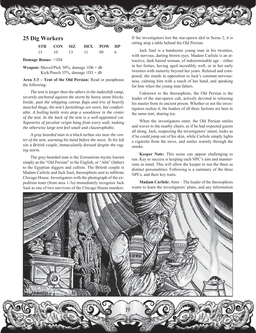

### **25 Dig Workers**

|  | STR CON SIZ DEX POW HP |  |
|--|------------------------|--|
|  | 15 10 13 11 09 6       |  |

**Damage Bonus:** +1D4

**Weapon:** Shovel/Pick 30%, damage 1D6 + db Kick/Punch 35%, damage 1D3 + db

**Area 3-3 – Tent of the Old Persian:** Read or paraphrase the following:

 *The tent is larger than the others in the makeshift camp, securely anchored against the storm by heavy stone blocks. Inside, past the whipping canvas flaps and trio of heavily muscled thugs, the tent's furnishings are worn, but comfortable. A boiling kettle rests atop a woodstove in the center of the tent. In the back of the tent is a well-appointed cot. Tapestries of peculiar origin hang from every wall, making the otherwise large tent feel small and claustrophobic.* 

 *A gray bearded man in a black turban sits near the center of the tent, warming his hand before the stove. To his left sits a British couple, immaculately dressed despite the raging storm.* 

 The gray-bearded man is the Zoroastrian mystic known simply as the "Old Persian" to the English, or "Abū" (father) to the Egyptian diggers and cultists. The British couple is Madam Carlisle and Jack Saul, theosophists sent to infiltrate Chicago House. Investigators with the photograph of the expedition team (from area 1-3a) immediately recognize Jack Saul as one of two survivors of the Chicago House murders.

If the investigators lost the star-spawn idol in Scene 2, it is sitting atop a table behind the Old Persian.

Jack Saul is a handsome young man in his twenties, with nervous, darting brown eyes. Madam Carlisle is an attractive, dark haired woman, of indeterminable age – either in her forties, having aged incredibly well, or in her early twenties with maturity beyond her years. Relaxed and composed, she stands in opposition to Jack's constant nervousness, calming him with a touch of her hand, and speaking for him when the young man falters.

 Unknown to the theosophists, the Old Persian is the leader of the star-spawn cult, actively devoted to releasing his master from its ancient prison. Whether or not the investigators realize it, the leaders of all three factions are here in the same tent, sharing tea.

 When the investigators enter, the Old Persian smiles and waves to the nearby chairs, as if he had expected guests all along. Jack, suspecting the investigators' intent, looks as if he could jump out of his skin, while Carlisle simply lights a cigarette from the stove, and smiles warmly through the smoke.

**Keeper Note:** This scene can appear challenging to run. Key to success is keeping each NPC's aim and mannerisms in mind. This will allow the keeper to run the three as distinct personalities. Following is a summary of the three NPCs, and their key traits.

**Madam Carlisle:** *Aims* – The leader of the theosophists wants to learn the investigators' plans, and any information

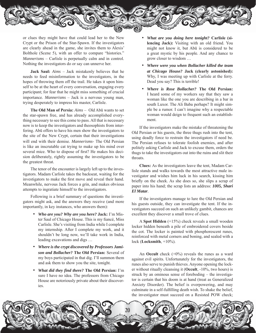

or clues they might have that could lead her to the New Crypt or the Prison of the Star-Spawn. If the investigators are clearly ahead in the game, she invites them to Alexis' Bolthole (Scene 5), with an offer to compare "histories." *Mannerisms* – Carlisle is perpetually calm and in control. Nothing the investigators do or say can unnerve her.

**Jack Saul:** *Aims* – Jack mistakenly believes that he needs to feed misinformation to the investigators, in the hopes of throwing them off the trail. He takes it upon himself to be at the heart of every conversation, engaging every participant; for fear that he might miss something of crucial importance. *Mannerisms* – Jack is a nervous young man, trying desperately to impress his master, Carlisle.

**The Old Man of Persia:** *Aims* – Old Abū wants to set the star-spawn free, and has already accomplished everything necessary to see this come to pass. All that is necessary now is to keep the investigators and theosophists from interfering. Abū offers to have his men show the investigators to the site of the New Crypt, certain that their investigations will end with their demise. *Mannerisms-* The Old Persian is like an inscrutable cat trying to make up his mind over several mice. Who to dispose of first? He makes his decision deliberately, rightly assuming the investigators to be the greatest threat.

 The tenor of the encounter is largely left up to the investigators. Madam Carlisle takes the backseat, waiting for the investigators to make the first move and reveal their hand. Meanwhile, nervous Jack forces a grin, and makes obvious attempts to ingratiate himself to the investigators.

 Following is a brief summary of questions the investigators might ask, and the answers they receive (and more importantly, in key instances, who answers them):

- *Who are you? Why are you here?* **Jack:** I'm Mister Saul of Chicago House. This is my fiancé, Miss Carlisle. She's visiting from India while I complete my internship. After I complete my work, and it shouldn't be long now, we'll take work in India, leading excavations and digs …
- *Where is the crypt discovered by Professors Jamison and Bollacher?* **The Old Persian:** Several of my boys participated in that dig. I'll summon them and ask them to show you the site, tonight.
- *What did they find there?* **The Old Persian:** I'm sure I have no idea. The professors from Chicago House are notoriously private about their discoveries.
- *What are you doing here tonight?* **Carlisle (silencing Jack):** Visiting with an old friend. You might not know it, but Abū is considered to be a great mystic by his people. And any chance to grow closer to wisdom …
- *Where were you when Bollacher killed the team at Chicago House?* **Jack (clearly astonished):** Why, I was meeting up with Carlisle at the ferry. Dead you say? This is terrible!
- *Where is Rose Bollacher?* **The Old Persian:** I heard some of my workers say that they saw a woman like the one you are describing in a bar in south Luxor. The Ali Baba perhaps? It might simple be a rumor. I can't imagine why a respectable woman would deign to frequent such an establishment.

If the investigators make the mistake of threatening the Old Persian or his guests, the three thugs rush into the tent, using deadly force to restrain the investigators if need be. The Persian refuses to tolerate foolish enemies, and after politely asking Carlisle and Jack to excuse them, orders the thugs to take the investigators out into the ruins and slit their throats.

**Clues:** As the investigators leave the tent, Madam Carlisle stands and walks towards the most attractive male investigator and wishes him luck in his search, kissing him briefly on the cheek. As she does so, she slips a scrap of paper into his hand; the scrap lists an address: *1005, Shari El Matar.* 

If the investigators manage to lure the Old Persian and his guests outside, they can investigate the tent. If the investigators succeed on such an unlikely gambit, chances are excellent they discover a small trove of clues.

 A **Spot Hidden** (+15%) check reveals a small wooden locker hidden beneath a pile of embroidered covers beside the cot. The locker is painted with phosphorescent runes, reinforced with metal corners and boning, and sealed with a lock (**Locksmith**, +10%).

An **Occult** check  $(+0\%)$  reveals the runes as a ward against evil spirits. Unfortunately for the investigators, the runes also serve to punish thieves. Anyone opening the locker without ritually cleansing it (**Occult**, -10%, two hours) is struck by an ominous sense of foreboding – the investigator is certain that his doom is at hand (treat as Generalized Anxiety Disorder). The belief is overpowering, and may culminate in a self-fulfilling death wish. To shake the belief, the investigator must succeed on a Resisted POW check;